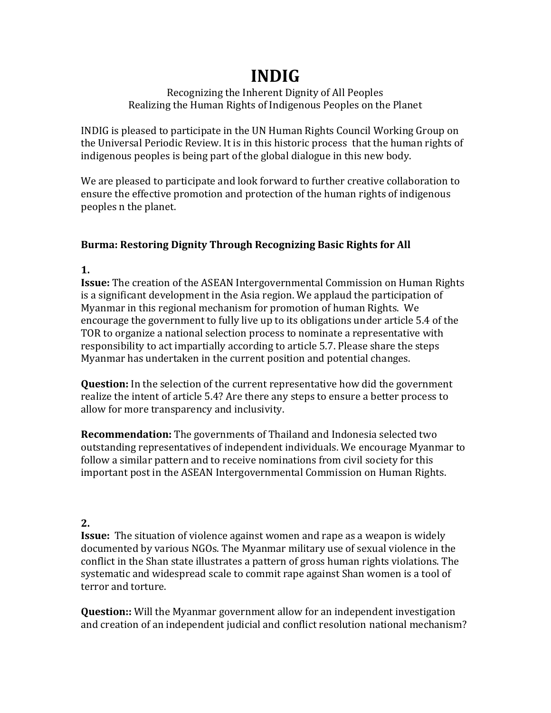# **INDIG**

#### Recognizing the Inherent Dignity of All Peoples Realizing the Human Rights of Indigenous Peoples on the Planet

INDIG is pleased to participate in the UN Human Rights Council Working Group on the Universal Periodic Review. It is in this historic process that the human rights of indigenous peoples is being part of the global dialogue in this new body.

We are pleased to participate and look forward to further creative collaboration to ensure the effective promotion and protection of the human rights of indigenous peoples n the planet.

### **Burma: Restoring Dignity Through Recognizing Basic Rights for All**

**1.** 

**Issue:** The creation of the ASEAN Intergovernmental Commission on Human Rights is a significant development in the Asia region. We applaud the participation of Myanmar in this regional mechanism for promotion of human Rights. We encourage the government to fully live up to its obligations under article 5.4 of the TOR to organize a national selection process to nominate a representative with responsibility to act impartially according to article 5.7. Please share the steps Myanmar has undertaken in the current position and potential changes.

**Question:** In the selection of the current representative how did the government realize the intent of article 5.4? Are there any steps to ensure a better process to allow for more transparency and inclusivity.

**Recommendation:** The governments of Thailand and Indonesia selected two outstanding representatives of independent individuals. We encourage Myanmar to follow a similar pattern and to receive nominations from civil society for this important post in the ASEAN Intergovernmental Commission on Human Rights.

## **2.**

**Issue:** The situation of violence against women and rape as a weapon is widely documented by various NGOs. The Myanmar military use of sexual violence in the conflict in the Shan state illustrates a pattern of gross human rights violations. The systematic and widespread scale to commit rape against Shan women is a tool of terror and torture.

**Question::** Will the Myanmar government allow for an independent investigation and creation of an independent judicial and conflict resolution national mechanism?